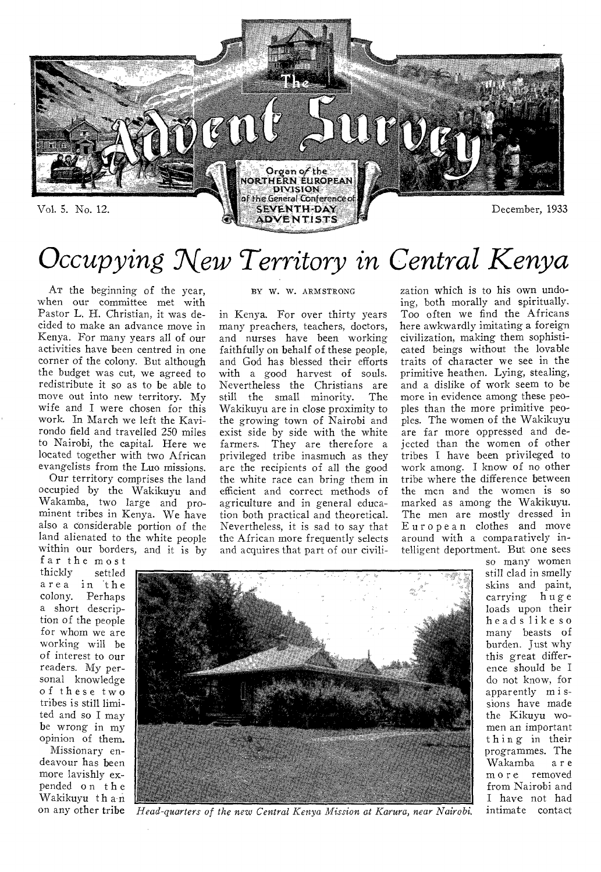

# *Occupying New Territory in Central Kenya*

AT the beginning of the year, when our committee met with Pastor L. H. Christian, it was decided to make an advance move in Kenya. For many years all of our activities have been centred in one corner of the colony. But although the budget was cut, we agreed to redistribute it so as to be able to move out into new territory. My wife and I were chosen for this work. In March we left the Kavirondo field and travelled 250 miles to Nairobi, the capital. Here we located together with two African evangelists from the Luo missions.

Our territory comprises the land occupied by the Wakikuyu and Wakamba, two large and prominent tribes in Kenya. We have also a considerable portion of the land alienated to the white people within our borders, and it is by

far the most<br>thickly settled settled area in the colony. Perhaps a short description of the people for whom we are working will be of interest to our readers. My personal knowledge of these two tribes is still limited and so I may be wrong in my opinion of them.

Missionary endeavour has been more lavishly expended on the Wakikuyu than on any other tribe

### BY W. W. ARMSTRONG

in Kenya. For over thirty years many preachers, teachers, doctors, and nurses have been working faithfully on behalf of these people, and God has blessed their efforts with a good harvest of souls. Nevertheless the Christians are still the small minority. The Wakikuyu are in close proximity to the growing town of Nairobi and exist side by side with the white farmers. They are therefore a privileged tribe inasmuch as they are the recipients of all the good the white race can bring them in efficient and correct methods of agriculture and in general education both practical and theoretical. Nevertheless, it is sad to say that the African more frequently selects and acquires that part of our civili-

zation which is to his own undoing, both morally and spiritually. Too often we find the Africans here awkwardly imitating a foreign civilization, making them sophisticated beings without the lovable traits of character we see in the primitive heathen. Lying, stealing, and a dislike of work seem to be more in evidence among these peoples than the more primitive peoples. The women of the Wakikuyu are far more oppressed and dejected than the women of other tribes I have been privileged to work among. I know of no other tribe where the difference between the men and the women is so marked as among the Wakikuyu. The men are mostly dressed in European clothes and move around with a comparatively intelligent deportment. But one sees



so many women still clad in smelly skins and paint, carrying huge loads upon their heads like so many beasts of burden. Just why this great difference should be I do not know, for apparently m i ssions have made the Kikuyu women an important thing in their programmes. The<br>Wakamba are Wakamba more removed from Nairobi and I have not had intimate contact

*Head-quarters of the new Central Kenya Mission at Karura, near Nairobi.*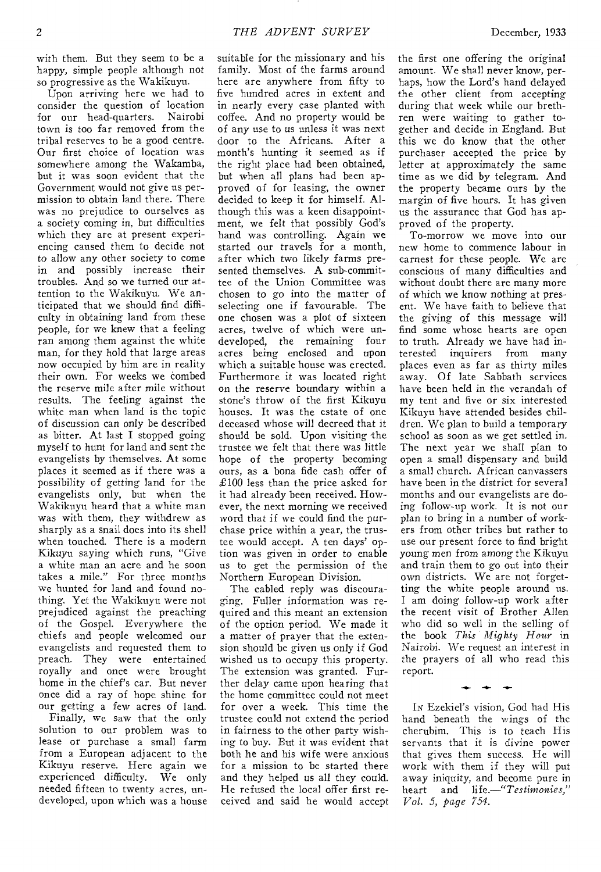with them. But they seem to be a happy, simple people although not so progressive as the Wakikuyu.

Upon arriving here we had to consider the question of location for our head-quarters. Nairobi town is too far removed from the tribal reserves to be a good centre. Our first choice of location was somewhere among the Wakamba, but it was soon evident that the Government would not give us permission to obtain land there. There was no prejudice to ourselves as a society coming in, but difficulties which they are at present experiencing caused them to decide not to allow any other society to come in and possibly increase their troubles. And so we turned our attention to the Wakikuyu. We anticipated that we should find difficulty in obtaining land from these people, for we knew that a feeling ran among them against the white man, for they hold that large areas now occupied by him are in reality their own. For weeks we combed the *reserve* mile after *mile* without results. The feeling against the white man when land is the topic of discussion can only be described as bitter. At last I stopped going myself to hunt for land and sent the evangelists by themselves. At some places it seemed as if there was a possibility of getting land for the evangelists only, but when the Wakikuyu heard that a white man was with them, they withdrew as sharply as a snail does into its shell when touched. There is a modern Kikuyu saying which runs, "Give a white man an acre and he soon takes a mile." For three months we hunted for land and found nothing. Yet the Wakikuyu were not prejudiced against the preaching of the Gospel. Everywhere the chiefs and people welcomed our evangelists and requested them to preach. They were entertained royally and once were brought home in the chief's car. But never once did a ray of hope shine for our getting a few acres of land.

Finally, we saw that the only solution to our problem was to lease or purchase a small farm from a European adjacent to the Kikuyu reserve. Here again we experienced difficulty. We only needed fifteen to twenty acres, undeveloped, upon which was a house suitable for the missionary and his family. Most of the farms around here are anywhere from fifty to five hundred acres in extent and in nearly every case planted with coffee. And no property would be of any use to us unless it was next door to the Africans. After a month's hunting it seemed as if the right place had been obtained, but when all plans had been approved of for leasing, the owner decided to keep it for himself. Although this was a keen disappointment, we felt that possibly God's hand was controlling. Again we started our travels for a month, after which two likely farms presented themselves. A sub-committee of the Union Committee was chosen to go into the matter of selecting one if favourable. The one chosen was a plot of sixteen acres, twelve of which were undeveloped, the remaining four acres being enclosed and upon which a suitable house was erected. Furthermore it was located right on the reserve boundary within a stone's throw of the first Kikuyu houses. It was the estate of one deceased whose will decreed that it should be sold. Upon visiting the trustee we felt that there was little hope of the property becoming ours, as a bona fide cash offer of £100 less than the price asked for it had already been received. However, the next morning we received word that if we could find the purchase price within a year, the trustee would accept. A ten days' option was given in order to enable us to get the permission of the Northern European Division.

The cabled reply was discouraging. Fuller information was required and this meant an extension of the option period. We made it a matter of prayer that the extension should be given us only if God wished us to occupy this property. The extension was granted. Further delay came upon hearing that the home committee could not meet for over a week. This time the trustee could not extend the period in fairness to the other party wishing to buy. But it was evident that both he and his wife were anxious for a mission to be started there and they helped us all they could. He refused the local offer first received and said he would accept

the first one offering the original amount. We shall never know, perhaps, how the Lord's hand delayed the other client from accepting during that week while our brethren were waiting to gather together and decide in England. But this we do know that the other purchaser accepted the price by letter at approximately the same time as we did by telegram. And the property became ours by the margin of five hours. It has given us the assurance that God has approved of the property.

To-morrow we move into our new home to commence labour in earnest for these people. We are conscious of many difficulties and without doubt there are many more of which we know nothing at present. We have faith to believe that the giving of this message will find some whose hearts are open to truth. Already we have had interested inquirers from many places even as far as thirty miles away. Of late Sabbath services have been held in the verandah of my tent and five or six interested Kikuyu have attended besides children. We plan to build a temporary school as soon as we get settled in. The next year we shall plan to open a small dispensary and build a small church. African canvassers have been in the district for several months and our evangelists are doing follow-up work. It is not our plan to bring in a number of workers from other tribes but rather to use our present force to find bright young men from among the Kikuyu and train them to go out into their own districts. We are not forgetting the white people around us. I am doing follow-up work after the recent visit of Brother Allen who did so well in the selling of the book *This Mighty Hour* in Nairobi. We request an interest in the prayers of all who read this report.

IN Ezekiel's vision, God had His hand beneath the wings of the cherubim. This is to teach His servants that it is divine power that gives them success. He will work with them if they will put away iniquity, and become pure in heart and *life.—"Testimonies," Vol. 5, page 754.* 

 $+ +$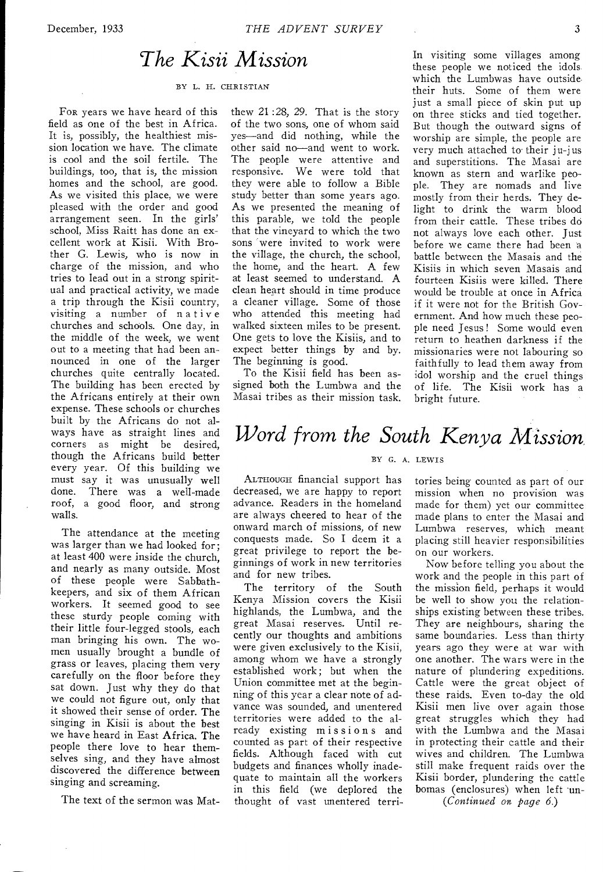## *The Kisii Mission*

#### BY L. H. CHRISTIAN

FOR years we have heard of this field as one of the best in Africa. It is, possibly, the healthiest mission location we have. The climate is cool and the soil fertile. The buildings, too, that is, the mission homes and the school, are good. As we visited this place, we were pleased with the order and good arrangement seen. In the girls' school, Miss Raitt has done an excellent work at Kisii. With Brother G. Lewis, who is now in charge of the mission, and who tries to lead out in a strong spiritual and practical activity, we made a trip through the Kisii country, visiting a number of native churches and schools. One day, in the middle of the week, we went out to a meeting that had been announced in one of the larger churches quite centrally located. The building has been erected by the Africans entirely at their own expense. These schools or churches built by the Africans do not always have as straight lines and corners as might be desired, though the Africans build better every year. Of this building we must say it was unusually well done. There was a well-made roof, a good floor, and strong walls.

The attendance at the meeting was larger than we had looked for; at least 400 were inside the church, and nearly as many outside. Most of these people were Sabbathkeepers, and six of them African workers. It seemed good to see these sturdy people coming with their little four-legged stools, each man bringing his own. The women usually brought a bundle of grass or leaves, placing them very carefully on the floor before they sat down. Just why they do that we could not figure out, only that it showed their sense of order. The singing in Kisii is about the best we have heard in East Africa. The people there love to hear themselves sing, and they have almost discovered the difference between singing and screaming.

The text of the sermon was Mat-

thew 21 :28, 29. That is the story of the two sons, one of whom said yes—and did nothing, while the other said no—and went to work. The people were attentive and responsive. We were told that they were able to follow a Bible study better than some years ago. As we presented the meaning of this parable, we told the people that the vineyard to which the two sons were invited to work were the village, the church, the school, the home, and the heart. A few at least seemed to understand. A clean heart should in time produce a cleaner village. Some of those who attended this meeting had walked sixteen miles to be present. One gets to love the Kisiis, and to expect better things by and by. The beginning is good.

To the Kisii field has been assigned both the Lumbwa and the Masai tribes as their mission task. In visiting some villages among these people we noticed the idols which the Lumbwas have outside their huts. Some of them were just a small piece of skin put up on three sticks and tied together. But though the outward signs of worship are simple, the people are very much attached to their ju-jus and superstitions. The Masai are known as stern and warlike people. They are nomads and live mostly from their herds. They delight to drink the warm blood from their cattle. These tribes do not always love each other. Just before we came there had been a battle between the Masais and the Kisiis in which seven Masais and fourteen Kisiis were killed. There would be trouble at once in Africa if it were not for the British Government. And how much these people need Jesus ! Some would even return to heathen darkness if the missionaries were not labouring so faithfully to lead them away from idol worship and the cruel things of life. The Kisii work has a bright future.

# *Word from the South Kenya Mission*

#### BY G. A. LEWIS

ALTHOUGH financial support has decreased, we are happy to report advance. Readers in the homeland are always cheered to hear of the onward march of missions, of new conquests made. So I deem it a great privilege to report the beginnings of work in new territories and for new tribes.

The territory of the South Kenya Mission covers the Kisii highlands, the Lumbwa, and the great Masai reserves. Until recently our thoughts and ambitions were given exclusively to the Kisii, among whom we have a strongly established work; but when the Union committee met at the beginning of this year a clear note of advance was sounded, and unentered territories were added to the already existing missions and counted as part of their respective fields. Although faced with cut budgets and finances wholly inadequate to maintain all the workers in this field (we deplored the thought of vast unentered territories being counted as part of our mission when no provision was made for them) yet our committee made plans to enter the Masai and Lumbwa reserves, which meant placing still heavier responsibilities on our workers.

Now before telling you about the work and the people in this part of the mission field, perhaps it would be well to show you the relationships existing between these tribes. They are neighbours, sharing the same boundaries. Less than thirty years ago they were at war with one another. The wars were in the nature of plundering expeditions. Cattle were the great object of these raids. Even to-day the old Kisii men live over again those great struggles which they had with the Lumbwa and the Masai in protecting their cattle and their wives and children. The Lumbwa still make frequent raids over the Kisii border, plundering the cattle bomas (enclosures) when left un-

*(Continued on page 6.)*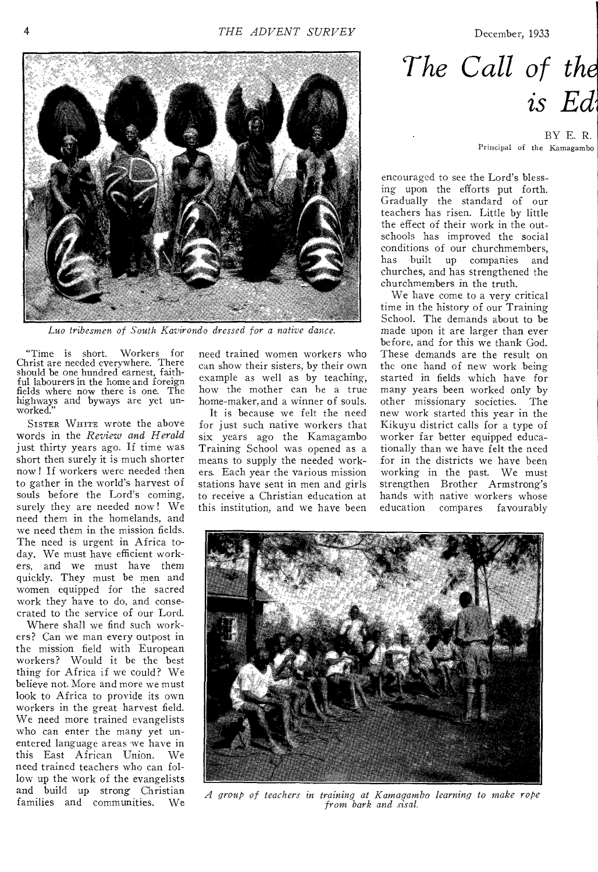December, 1933



Luo tribesmen of South Kavirondo dressed for a native dance.

"Time is short. Workers for Christ are needed everywhere. There should be one hundred earnest, faithful labourers in the home and foreign fields where now there is one. The highways and byways are yet unworked."

SISTER WHITE wrote the above words in the *Review and Herald*  just thirty years ago. If time was short then surely it is much shorter now ! If workers were needed then to gather in the world's harvest of souls before the Lord's coming, surely they are needed now ! We need them in the homelands, and we need them in the mission fields. The need is urgent in Africa today. We must have efficient workers, and we must have them quickly. They must be men and women equipped for the sacred work they have to do, and consecrated to the service of our Lord.

Where shall we find such workers? Can we man every outpost in the mission field with European workers? Would it be the best thing for Africa if we could? We believe not. More and more we must look to Africa to provide its own workers in the great harvest field. We need more trained evangelists who can enter the many yet unentered language areas we have in this East African Union. We need trained teachers who can follow up the work of the evangelists and build up strong Christian families and communities. We need trained women workers who can show their sisters, by their own example as well as by teaching, how the mother can he a true home-maker, and a winner of souls.

It is because we felt the need for just such native workers that six years ago the Kamagambo Training School was opened as a means to supply the needed workers. Each year the various mission stations have sent in men and girls to receive a Christian education at this institution, and we have been

*The Gall of the is Ed* 

> BY E. R. Principal of the Kamagambo

encouraged to see the Lord's blessing upon the efforts put forth. Gradually the standard of our teachers has risen. Little by little the effect of their work in the outschools has improved the social conditions of our churchmembers, has built up companies and churches, and has strengthened the churchmembers in the truth.

We have come to a very critical time in the history of our Training School. The demands about to be made upon it are larger than ever before, and for this we thank God. These demands are the result on the one hand of new work being started in fields which have for many years been worked only by other missionary societies. The new work started this year in the Kikuyu district calls for a type of worker far better equipped educationally than we have felt the need for in the districts we have been working in the past. We must strengthen Brother Armstrong's hands with native workers whose education compares favourably



*A group of teach\_rs in training at Kamagambo learning to make rope from bark and sisal.*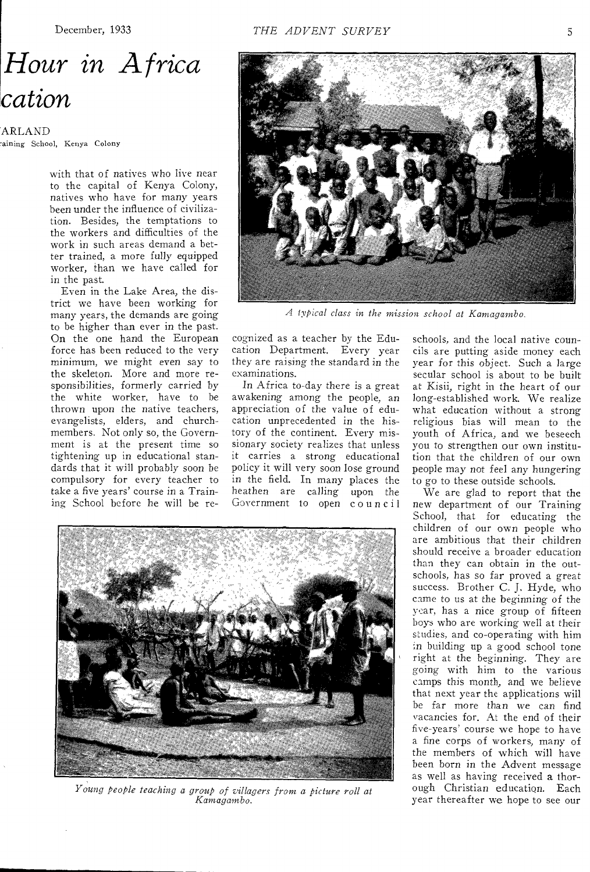# *Hour in Africa cation*

ARLAND aining School, Kenya Colony

with that of natives who live near to the capital of Kenya Colony, natives who have for many years been under the influence of civilization. Besides, the temptations to the workers and difficulties of the work in such areas demand a better trained, a more fully equipped worker, than we have called for in the past.

Even in the Lake Area, the district we have been working for many years, the demands are going to be higher than ever in the past. On the one hand the European force has been reduced to the very minimum, we might even say to the skeleton. More and more responsibilities, formerly carried by the white worker, have to be thrown upon the native teachers, evangelists, elders, and churchmembers. Not only so, the Government is at the present time so tightening up in educational standards that it will probably soon be compulsory for every teacher to take a five years' course in a Training School before he will be re-



*A typical class in the mission school at Kamagambo.* 

cognized as a teacher by the Education Department. Every year they are raising the standard in the examinations.

In Africa to-day there is a great awakening among the people, an appreciation of the value of education unprecedented in the history of the continent. Every missionary society realizes that unless it carries a strong educational policy it will very soon lose ground in the field. In many places the heathen are calling upon the Government to open council



*Y-024 g people teaching a group of villagers from a picture roll at Kamagambo.* 

schools, and the local native councils are putting aside money each year for this object. Such a large secular school is about to be built at Kisii, right in the heart of our long-established work. We realize what education without a strong religious bias will mean to the youth of Africa, and we beseech you to strengthen our own institution that the children of our own people may not feel any hungering to go to these outside schools.

We are glad to report that the new department of our Training School, that for educating the children of our own people who are ambitious that their children should receive a broader education than they can obtain in the outschools, has so far proved a great success. Brother C. J. Hyde, who came to us at the beginning of the year, has a nice group of fifteen boys who are working well at their studies, and co-operating with him m building up a good school tone right at the beginning. They are going with him to the various camps this month, and we believe that next year the applications will be far more than we can find vacancies for. At the end of their five-years' course we hope to have a fine corps of workers, many of the members of which will have been born in the Advent message as well as having received a thorough Christian education. Each year thereafter we hope to see our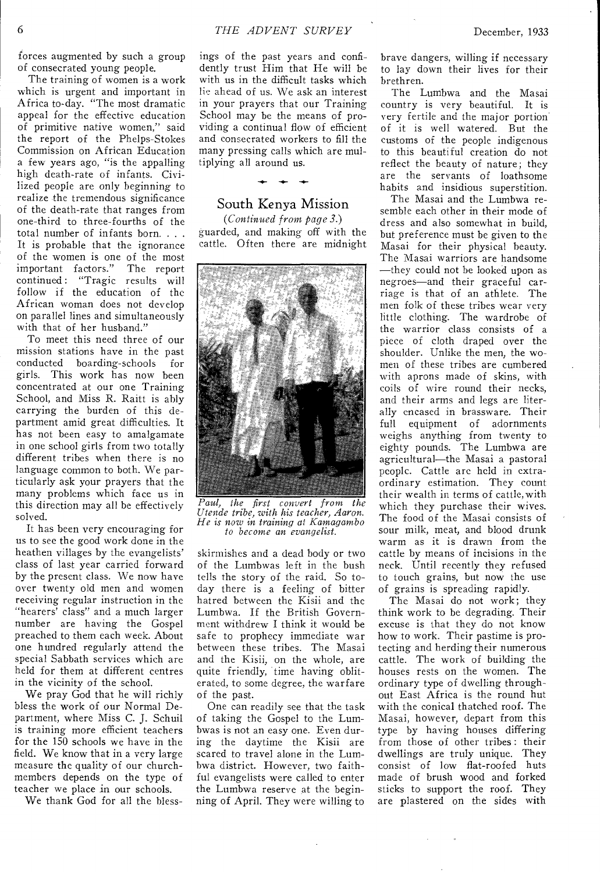forces augmented by such a group of consecrated young people.

The training of women is a work which is urgent and important in Africa to-day. "The most dramatic appeal for the effective education of primitive native women," said the report of the Phelps-Stokes Commission on African Education a few years ago, "is the appalling high death-rate of infants. Civilized people are only beginning to realize the tremendous significance of the death-rate that ranges from one-third to three-fourths of the total number of infants born. . . . It is probable that the ignorance of the women is one of the most important factors." The report continued : "Tragic results will follow if the education of the African woman does not develop on parallel lines and simultaneously with that of her husband."

To meet this need three of our mission stations have in the past conducted boarding-schools for girls. This work has now been concentrated at our one Training School, and Miss R. Raitt is ably carrying the burden of this department amid great difficulties. It has not been easy to amalgamate in one school girls from two totally different tribes when there is no language common to both. We particularly ask your prayers that the many problems which face us in this direction may all be effectively solved.

It has been very encouraging for us to see the good work done in the heathen villages by the evangelists' class of last year carried forward by the present class. We now have over twenty old men and women receiving regular instruction in the "hearers' class" and a much larger number are having the Gospel preached to them each week. About one hundred regularly attend the special Sabbath services which are held for them at different centres in the vicinity of the school.

We pray God that he will richly bless the work of our Normal Department, where Miss C. J. Schuil is training more efficient teachers for the 150 schools we have in the field. We know that in a very large measure the quality of our churchmembers depends on the type of teacher we place in our schools.

We thank God for all the bless-

ings of the past years and confidently trust Him that He will be with us in the difficult tasks which lie ahead of us. We ask an interest in your prayers that our Training School may be the means of providing a continual flow of efficient and consecrated workers to fill the many pressing calls which are multiplying all around us.

## South Kenya Mission

 $\bullet$ 

*(Continued from page 3.)*  guarded, and making off with the cattle. Often there are midnight



*Paul, the first convert from the Utende tribe, with his teacher, Aaron. He is now in training at Kamagambo to become an evangelist.* 

skirmishes and a dead body or two of the Lumbwas left in the bush tells the story of the raid. So today there is a feeling of bitter hatred between the Kisii and the Lumbwa. If the British Government withdrew I think it would be safe to prophecy immediate war between these tribes. The Masai and the Kisii, on the whole, are quite friendly, time having obliterated, to some degree, the warfare of the past.

One can readily see that the task of taking the Gospel to the Lumbwas is not an easy one. Even during the daytime the Kisii are scared to travel alone in the Lumbwa district. However, two faithful evangelists were called to enter the Lumbwa reserve at the beginning of April. They were willing to

brave dangers, willing if necessary to lay down their lives for their brethren.

The Lumbwa and the Masai country is very beautiful. It is very fertile and the major portion of it is well watered. But the customs of the people indigenous to this beautiful creation do not reflect the beauty of nature; they are the servants of loathsome habits and insidious superstition.

The Masai and the Lumbwa resemble each other in their mode of dress and also somewhat in build, but preference must be given to the Masai for their physical beauty. The Masai warriors are handsome —they could not be looked upon as negroes—and their graceful carriage is that of an athlete. The men folk of these tribes wear very little clothing. The wardrobe of the warrior class consists of a piece of cloth draped over the shoulder. Unlike the men, the women of these tribes are cumbered with aprons made of skins, with coils of wire round their necks, and their arms and legs are literally encased in brassware. Their full equipment of adornments weighs anything from twenty to eighty pounds. The Lumbwa are agricultural—the Masai a pastoral people. Cattle arc held in extraordinary estimation. They count their wealth in terms of cattle,with which they purchase their wives. The food of the Masai consists of sour milk, meat, and blood drunk warm as it is drawn from the cattle by means of incisions in the neck. Until recently they refused to touch grains, but now the use of grains is spreading rapidly.

The Masai do not work; they think work to be degrading. Their excuse is that they do not know how to work. Their pastime is protecting and herding their numerous cattle. The work of building the houses rests on the women. The ordinary type of dwelling throughout East Africa is the round hut with the conical thatched roof. The Masai, however, depart from this type by having houses differing from those of other tribes : their dwellings are truly unique. They consist of low flat-roofed huts made of brush wood and forked sticks to support the roof. They are plastered on the sides with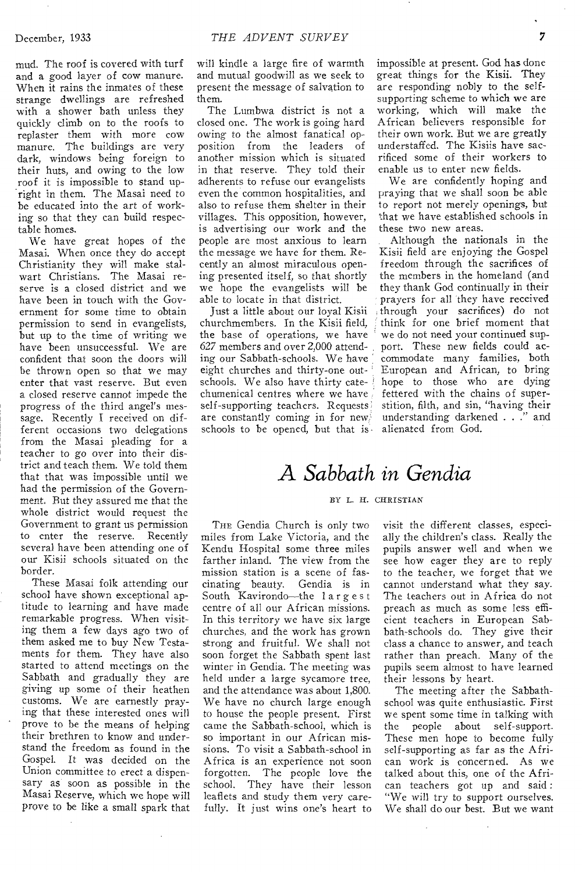mud. The roof is covered with turf and a good layer of cow manure. When it rains the inmates of these strange dwellings are refreshed with a shower bath unless they quickly climb on to the roofs to replaster them with more cow manure. The buildings are very dark, windows being foreign to their huts, and owing to the low roof it is impossible to stand upright in them. The Masai need to be educated into the art of working so that they can build respectable homes.

We have great hopes of the Masai. When once they do accept Christianity they will make stalwart Christians. The Masai reserve is a closed district and we have been in touch with the Government for some time to obtain permission to send in evangelists, but up to the time of writing we have been unsuccessful. We are confident that soon the doors will be thrown open so that we may enter that vast reserve. But even a closed reserve cannot impede the progress of the third angel's message. Recently I received on different occasions two delegations from the Masai pleading for a teacher to go over into their district and teach them. We told them that that was impossible until we had the permission of the Government. But they assured me that the whole district would request the Government to grant us permission to enter the reserve. Recently several have been attending one of our Kisii schools situated on the border.

These Masai folk attending our school have shown exceptional aptitude to learning and have made remarkable progress. When visiting them a few days ago two of them asked me to buy New Testaments for them. They have also started to attend meetings on the Sabbath and gradually they are giving up some of their heathen customs. We are earnestly praying that these interested ones will prove to be the means of helping their brethren to know and understand the freedom as found in the Gospel. It was decided on the Union committee to erect a dispensary as soon as possible in the Masai Reserve, which we hope will prove to be like a small spark that

will kindle a large fire of warmth and mutual goodwill as we seek to present the message of salvation to them.

The Lumbwa district is not a closed one. The work is going hard owing to the almost fanatical opposition from the leaders of another mission which is situated in that reserve. They told their adherents to refuse our evangelists even the common hospitalities, and also to refuse them shelter in their villages. This opposition, however, is advertising our work and the people are most anxious to learn the message we have for them. Recently an almost miraculous opening presented itself, so that shortly we hope the evangelists will be able to locate in that district.

Just a little about our loyal Kisii churchmembers. In the Kisii field, the base of operations, we have 627 members and over 2,000 attending our Sabbath-schools. We have eight churches and thirty-one outschools. We also have thirty catechumenical centres where we have self-supporting teachers. Requests are constantly coming in for new, schools to be opened, but that is

impossible at present. God has done great things for the Kisii. They are responding nobly to the selfsupporting scheme to which we are working, which will make the African believers responsible for their own work. But we are greatly understaffed. The Kisiis have sacrificed some of their workers to enable us to enter new fields.

We are confidently hoping and praying that we shall soon be able to report not merely openings, but that we have established schools in these two new areas.

Although the nationals in the Kisii field are enjoying the Gospel freedom through the sacrifices of the members in the homeland (and they thank God continually in their prayers for all they have received through your sacrifices) do not think for one brief moment that we do not need your continued support. These new fields could accommodate many families, both European and African, to bring hope to those who are dying fettered with the chains of superstition, filth, and sin, "having their understanding darkened . . ." and alienated from God.

# *A Sabbath in Gendia*

## 13Y L. H. CHRISTIAN

THE Gendia Church is only two miles from Lake Victoria, and the Kendu Hospital some three miles farther inland. The view from the mission station is a scene of fascinating beauty. Gendia is in South Kavirondo—the largest centre of all our African missions. In this territory we have six large churches, and the work has grown strong and fruitful. We shall not soon forget the Sabbath spent last winter in Gendia. The meeting was held under a large sycamore tree, and the attendance was about 1,800. We have no church large enough to house the people present. First came the Sabbath-school, which is so important in our African missions. To visit a Sabbath-school in Africa is an experience not soon forgotten. The people love the school. They have their lesson leaflets and study them very carefully. It just wins one's heart to

visit the different classes, especially the children's *class.* Really the pupils answer well and when we see how eager they are to reply to the teacher, we forget that we cannot understand what they say. The teachers out in Africa do not preach as much as some less efficient teachers in European Sabbath-schools do. They give their class a chance to answer, and teach rather than preach. Many of the pupils seem almost to have learned their lessons by heart.

The meeting after the Sabbathschool was quite enthusiastic. First we spent some time in talking with the people about self-support. These men hope to become fully self-supporting as far as the African work is concerned. As we talked about this, one of the African teachers got up and said : "We will try to support ourselves. We shall do our best. But we want